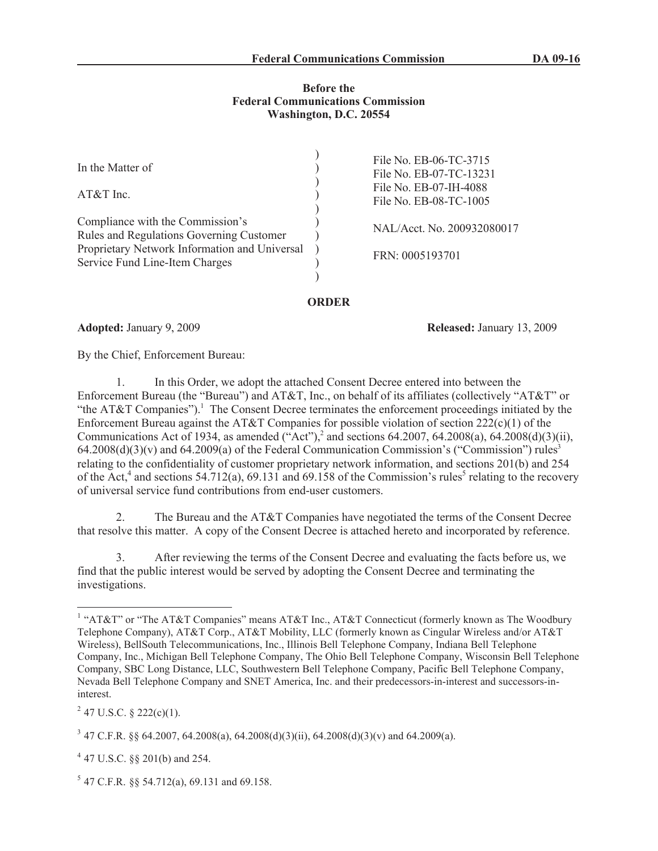### **Before the Federal Communications Commission Washington, D.C. 20554**

 $\lambda$ 

| In the Matter of                                                                    | File No. EB-06-TC-3715<br>File No. EB-07-TC-13231 |
|-------------------------------------------------------------------------------------|---------------------------------------------------|
| $AT&T$ Inc.                                                                         | File No. EB-07-IH-4088<br>File No. EB-08-TC-1005  |
| Compliance with the Commission's<br><b>Rules and Regulations Governing Customer</b> | NAL/Acct. No. 200932080017                        |
| Proprietary Network Information and Universal<br>Service Fund Line-Item Charges     | FRN: 0005193701                                   |
|                                                                                     |                                                   |

# **ORDER**

**Adopted:** January 9, 2009 **Released:** January 13, 2009

By the Chief, Enforcement Bureau:

1. In this Order, we adopt the attached Consent Decree entered into between the Enforcement Bureau (the "Bureau") and AT&T, Inc., on behalf of its affiliates (collectively "AT&T" or "the AT&T Companies").<sup>1</sup> The Consent Decree terminates the enforcement proceedings initiated by the Enforcement Bureau against the AT&T Companies for possible violation of section  $222(c)(1)$  of the Communications Act of 1934, as amended ("Act"),<sup>2</sup> and sections 64.2007, 64.2008(a), 64.2008(d)(3)(ii),  $64.2008(d)(3)(v)$  and  $64.2009(a)$  of the Federal Communication Commission's ("Commission") rules<sup>3</sup> relating to the confidentiality of customer proprietary network information, and sections 201(b) and 254 of the Act,<sup>4</sup> and sections 54.712(a), 69.131 and 69.158 of the Commission's rules<sup>5</sup> relating to the recovery of universal service fund contributions from end-user customers.

2. The Bureau and the AT&T Companies have negotiated the terms of the Consent Decree that resolve this matter. A copy of the Consent Decree is attached hereto and incorporated by reference.

3. After reviewing the terms of the Consent Decree and evaluating the facts before us, we find that the public interest would be served by adopting the Consent Decree and terminating the investigations.

 $^{2}$  47 U.S.C. § 222(c)(1).

4 47 U.S.C. §§ 201(b) and 254.

<sup>&</sup>lt;sup>1</sup> "AT&T" or "The AT&T Companies" means AT&T Inc., AT&T Connecticut (formerly known as The Woodbury Telephone Company), AT&T Corp., AT&T Mobility, LLC (formerly known as Cingular Wireless and/or AT&T Wireless), BellSouth Telecommunications, Inc., Illinois Bell Telephone Company, Indiana Bell Telephone Company, Inc., Michigan Bell Telephone Company, The Ohio Bell Telephone Company, Wisconsin Bell Telephone Company, SBC Long Distance, LLC, Southwestern Bell Telephone Company, Pacific Bell Telephone Company, Nevada Bell Telephone Company and SNET America, Inc. and their predecessors-in-interest and successors-ininterest.

<sup>&</sup>lt;sup>3</sup> 47 C.F.R. §§ 64.2007, 64.2008(a), 64.2008(d)(3)(ii), 64.2008(d)(3)(v) and 64.2009(a).

<sup>5</sup> 47 C.F.R. §§ 54.712(a), 69.131 and 69.158.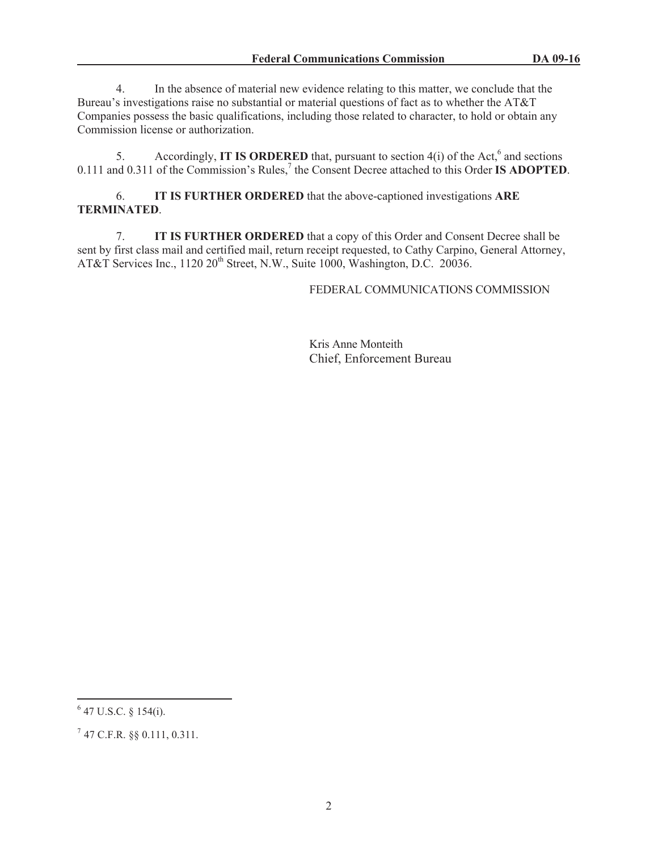4. In the absence of material new evidence relating to this matter, we conclude that the Bureau's investigations raise no substantial or material questions of fact as to whether the AT&T Companies possess the basic qualifications, including those related to character, to hold or obtain any Commission license or authorization.

5. Accordingly, **IT IS ORDERED** that, pursuant to section  $4(i)$  of the Act,<sup>6</sup> and sections 0.111 and 0.311 of the Commission's Rules,<sup>7</sup> the Consent Decree attached to this Order **IS ADOPTED**.

6. **IT IS FURTHER ORDERED** that the above-captioned investigations **ARE TERMINATED**.

7. **IT IS FURTHER ORDERED** that a copy of this Order and Consent Decree shall be sent by first class mail and certified mail, return receipt requested, to Cathy Carpino, General Attorney, AT&T Services Inc.,  $1120\ 20^{th}$  Street, N.W., Suite 1000, Washington, D.C. 20036.

FEDERAL COMMUNICATIONS COMMISSION

Kris Anne Monteith Chief, Enforcement Bureau

<sup>6</sup> 47 U.S.C. § 154(i).

 $^7$  47 C.F.R. §§ 0.111, 0.311.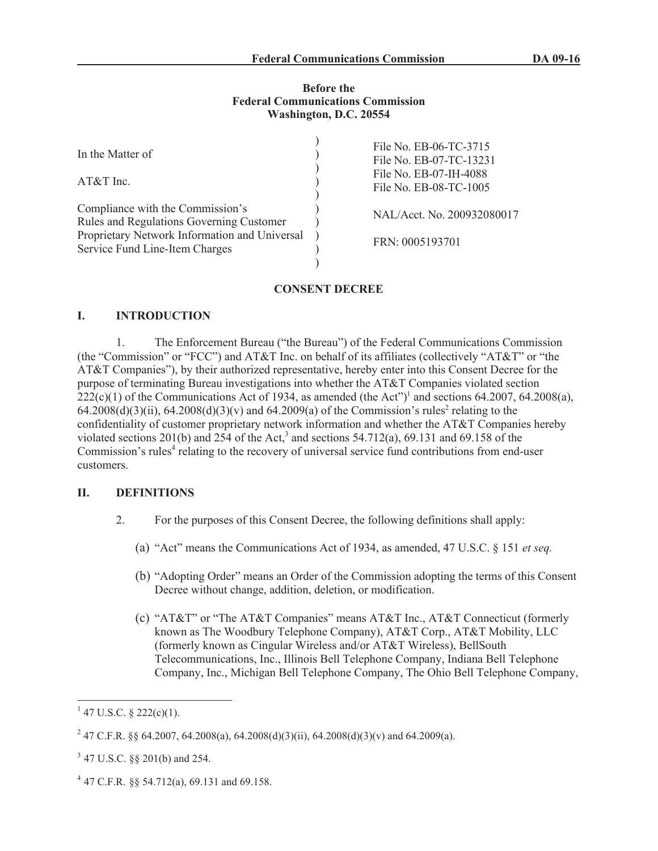### **Before the Federal Communications Commission Washington, D.C. 20554**

| In the Matter of<br>$AT&T$ Inc.                                                                                                                                 | File No. EB-06-TC-3715<br>File No. EB-07-TC-13231<br>File No. EB-07-IH-4088<br>File No. EB-08-TC-1005 |
|-----------------------------------------------------------------------------------------------------------------------------------------------------------------|-------------------------------------------------------------------------------------------------------|
| Compliance with the Commission's<br>Rules and Regulations Governing Customer<br>Proprietary Network Information and Universal<br>Service Fund Line-Item Charges | NAL/Acct. No. 200932080017<br>FRN: 0005193701                                                         |

# **CONSENT DECREE**

# **I. INTRODUCTION**

1. The Enforcement Bureau ("the Bureau") of the Federal Communications Commission (the "Commission" or "FCC") and AT&T Inc. on behalf of its affiliates (collectively "AT&T" or "the AT&T Companies"), by their authorized representative, hereby enter into this Consent Decree for the purpose of terminating Bureau investigations into whether the AT&T Companies violated section  $222(c)(1)$  of the Communications Act of 1934, as amended (the Act")<sup>1</sup> and sections 64.2007, 64.2008(a),  $64.2008(d)(3)(ii)$ ,  $64.2008(d)(3)(v)$  and  $64.2009(a)$  of the Commission's rules<sup>2</sup> relating to the confidentiality of customer proprietary network information and whether the AT&T Companies hereby violated sections 201(b) and  $254$  of the Act,<sup>3</sup> and sections 54.712(a), 69.131 and 69.158 of the Commission's rules<sup>4</sup> relating to the recovery of universal service fund contributions from end-user customers.

# **II. DEFINITIONS**

- 2. For the purposes of this Consent Decree, the following definitions shall apply:
	- (a) "Act" means the Communications Act of 1934, as amended, 47 U.S.C. § 151 *et seq.*
	- (b) "Adopting Order" means an Order of the Commission adopting the terms of this Consent Decree without change, addition, deletion, or modification.
	- (c) "AT&T" or "The AT&T Companies" means AT&T Inc., AT&T Connecticut (formerly known as The Woodbury Telephone Company), AT&T Corp., AT&T Mobility, LLC (formerly known as Cingular Wireless and/or AT&T Wireless), BellSouth Telecommunications, Inc., Illinois Bell Telephone Company, Indiana Bell Telephone Company, Inc., Michigan Bell Telephone Company, The Ohio Bell Telephone Company,

 $1$  47 U.S.C. § 222(c)(1).

<sup>&</sup>lt;sup>2</sup> 47 C.F.R. §§ 64.2007, 64.2008(a), 64.2008(d)(3)(ii), 64.2008(d)(3)(v) and 64.2009(a).

<sup>3</sup> 47 U.S.C. §§ 201(b) and 254.

<sup>4</sup> 47 C.F.R. §§ 54.712(a), 69.131 and 69.158.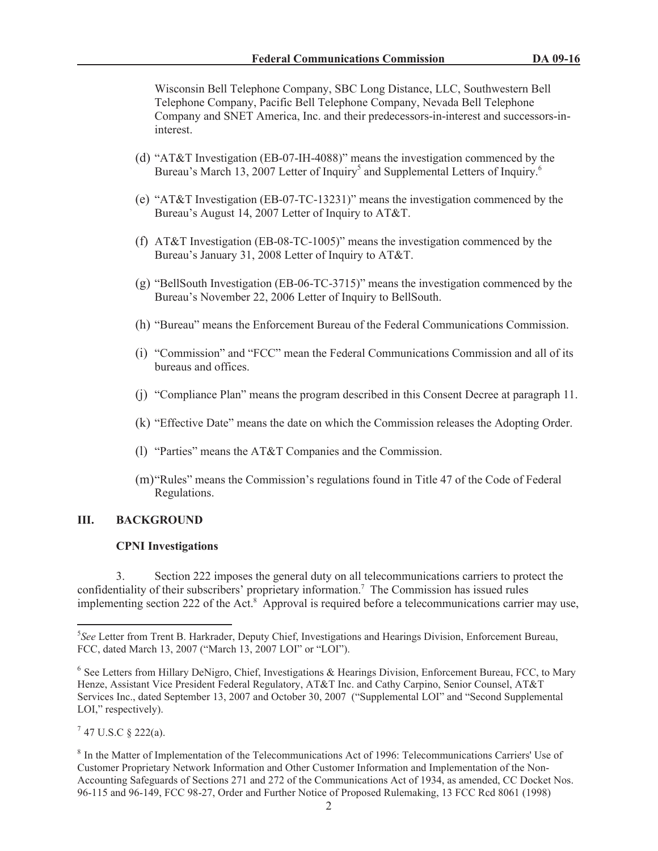Wisconsin Bell Telephone Company, SBC Long Distance, LLC, Southwestern Bell Telephone Company, Pacific Bell Telephone Company, Nevada Bell Telephone Company and SNET America, Inc. and their predecessors-in-interest and successors-ininterest.

- (d) "AT&T Investigation (EB-07-IH-4088)" means the investigation commenced by the Bureau's March 13, 2007 Letter of Inquiry<sup>5</sup> and Supplemental Letters of Inquiry.<sup>6</sup>
- (e) "AT&T Investigation (EB-07-TC-13231)" means the investigation commenced by the Bureau's August 14, 2007 Letter of Inquiry to AT&T.
- (f) AT&T Investigation (EB-08-TC-1005)" means the investigation commenced by the Bureau's January 31, 2008 Letter of Inquiry to AT&T.
- (g) "BellSouth Investigation (EB-06-TC-3715)" means the investigation commenced by the Bureau's November 22, 2006 Letter of Inquiry to BellSouth.
- (h) "Bureau" means the Enforcement Bureau of the Federal Communications Commission.
- (i) "Commission" and "FCC" mean the Federal Communications Commission and all of its bureaus and offices.
- (j) "Compliance Plan" means the program described in this Consent Decree at paragraph 11.
- (k) "Effective Date" means the date on which the Commission releases the Adopting Order.
- (l) "Parties" means the AT&T Companies and the Commission.
- (m)"Rules" means the Commission's regulations found in Title 47 of the Code of Federal Regulations.

# **III. BACKGROUND**

#### **CPNI Investigations**

3. Section 222 imposes the general duty on all telecommunications carriers to protect the confidentiality of their subscribers' proprietary information.<sup>7</sup> The Commission has issued rules implementing section 222 of the Act.<sup>8</sup> Approval is required before a telecommunications carrier may use,

 $7$  47 U.S.C § 222(a).

<sup>5</sup> *See* Letter from Trent B. Harkrader, Deputy Chief, Investigations and Hearings Division, Enforcement Bureau, FCC, dated March 13, 2007 ("March 13, 2007 LOI" or "LOI").

<sup>&</sup>lt;sup>6</sup> See Letters from Hillary DeNigro, Chief, Investigations & Hearings Division, Enforcement Bureau, FCC, to Mary Henze, Assistant Vice President Federal Regulatory, AT&T Inc. and Cathy Carpino, Senior Counsel, AT&T Services Inc., dated September 13, 2007 and October 30, 2007 ("Supplemental LOI" and "Second Supplemental LOI," respectively).

<sup>&</sup>lt;sup>8</sup> In the Matter of Implementation of the Telecommunications Act of 1996: Telecommunications Carriers' Use of Customer Proprietary Network Information and Other Customer Information and Implementation of the Non-Accounting Safeguards of Sections 271 and 272 of the Communications Act of 1934, as amended, CC Docket Nos. 96-115 and 96-149, FCC 98-27, Order and Further Notice of Proposed Rulemaking, 13 FCC Rcd 8061 (1998)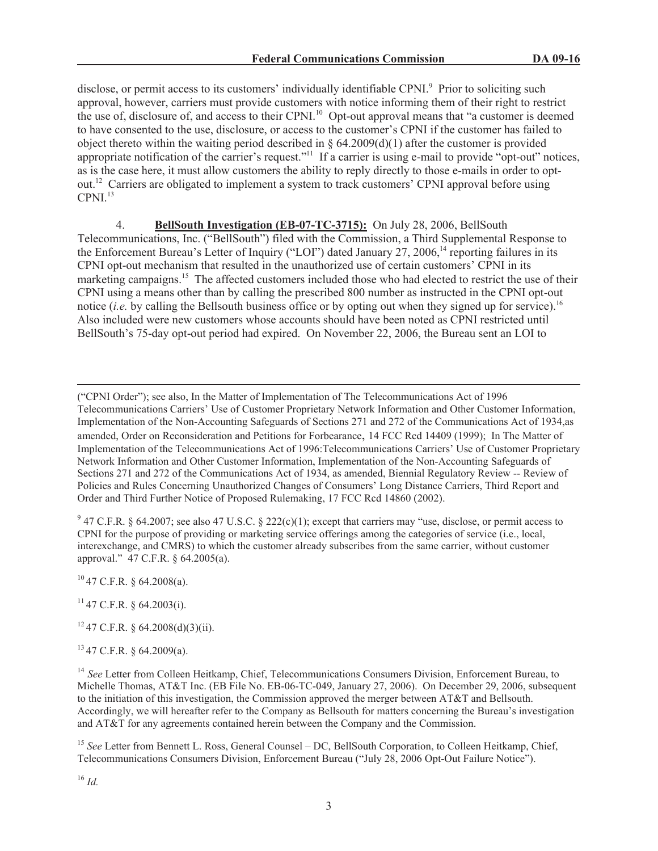disclose, or permit access to its customers' individually identifiable CPNI.<sup>9</sup> Prior to soliciting such approval, however, carriers must provide customers with notice informing them of their right to restrict the use of, disclosure of, and access to their CPNI.<sup>10</sup> Opt-out approval means that "a customer is deemed to have consented to the use, disclosure, or access to the customer's CPNI if the customer has failed to object thereto within the waiting period described in § 64.2009(d)(1) after the customer is provided appropriate notification of the carrier's request."<sup>11</sup> If a carrier is using e-mail to provide "opt-out" notices, as is the case here, it must allow customers the ability to reply directly to those e-mails in order to optout.<sup>12</sup> Carriers are obligated to implement a system to track customers' CPNI approval before using  $CPNI<sup>13</sup>$ 

4. **BellSouth Investigation (EB-07-TC-3715):** On July 28, 2006, BellSouth Telecommunications, Inc. ("BellSouth") filed with the Commission, a Third Supplemental Response to the Enforcement Bureau's Letter of Inquiry ("LOI") dated January  $27, 2006$ ,<sup>14</sup> reporting failures in its CPNI opt-out mechanism that resulted in the unauthorized use of certain customers' CPNI in its marketing campaigns.<sup>15</sup> The affected customers included those who had elected to restrict the use of their CPNI using a means other than by calling the prescribed 800 number as instructed in the CPNI opt-out notice *(i.e. by calling the Bellsouth business office or by opting out when they signed up for service).<sup>16</sup>* Also included were new customers whose accounts should have been noted as CPNI restricted until BellSouth's 75-day opt-out period had expired. On November 22, 2006, the Bureau sent an LOI to

("CPNI Order"); see also, In the Matter of Implementation of The Telecommunications Act of 1996 Telecommunications Carriers' Use of Customer Proprietary Network Information and Other Customer Information, Implementation of the Non-Accounting Safeguards of Sections 271 and 272 of the Communications Act of 1934,as amended, Order on Reconsideration and Petitions for Forbearance, 14 FCC Rcd 14409 (1999); In The Matter of Implementation of the Telecommunications Act of 1996:Telecommunications Carriers' Use of Customer Proprietary Network Information and Other Customer Information, Implementation of the Non-Accounting Safeguards of Sections 271 and 272 of the Communications Act of 1934, as amended, Biennial Regulatory Review -- Review of Policies and Rules Concerning Unauthorized Changes of Consumers' Long Distance Carriers, Third Report and Order and Third Further Notice of Proposed Rulemaking, 17 FCC Rcd 14860 (2002).

 $9$  47 C.F.R. § 64.2007; see also 47 U.S.C. § 222(c)(1); except that carriers may "use, disclose, or permit access to CPNI for the purpose of providing or marketing service offerings among the categories of service (i.e., local, interexchange, and CMRS) to which the customer already subscribes from the same carrier, without customer approval." 47 C.F.R. § 64.2005(a).

 $^{10}$  47 C.F.R. § 64.2008(a).

 $^{11}$  47 C.F.R. § 64.2003(i).

<sup>12</sup> 47 C.F.R. § 64.2008(d)(3)(ii).

<sup>13</sup> 47 C.F.R. § 64.2009(a).

<sup>15</sup> See Letter from Bennett L. Ross, General Counsel – DC, BellSouth Corporation, to Colleen Heitkamp, Chief, Telecommunications Consumers Division, Enforcement Bureau ("July 28, 2006 Opt-Out Failure Notice").

<sup>&</sup>lt;sup>14</sup> See Letter from Colleen Heitkamp, Chief, Telecommunications Consumers Division, Enforcement Bureau, to Michelle Thomas, AT&T Inc. (EB File No. EB-06-TC-049, January 27, 2006). On December 29, 2006, subsequent to the initiation of this investigation, the Commission approved the merger between AT&T and Bellsouth. Accordingly, we will hereafter refer to the Company as Bellsouth for matters concerning the Bureau's investigation and AT&T for any agreements contained herein between the Company and the Commission.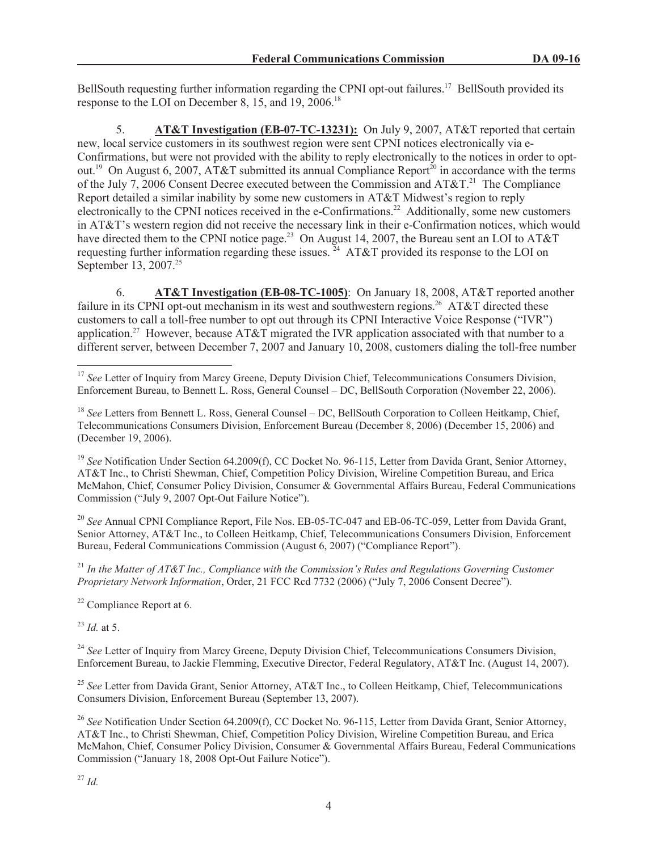BellSouth requesting further information regarding the CPNI opt-out failures.<sup>17</sup> BellSouth provided its response to the LOI on December 8, 15, and 19, 2006.<sup>18</sup>

5. **AT&T Investigation (EB-07-TC-13231):** On July 9, 2007, AT&T reported that certain new, local service customers in its southwest region were sent CPNI notices electronically via e-Confirmations, but were not provided with the ability to reply electronically to the notices in order to optout.<sup>19</sup> On August 6, 2007, AT&T submitted its annual Compliance Report<sup>20</sup> in accordance with the terms of the July 7, 2006 Consent Decree executed between the Commission and  $AT&T.^{21}$  The Compliance Report detailed a similar inability by some new customers in AT&T Midwest's region to reply electronically to the CPNI notices received in the e-Confirmations.<sup>22</sup> Additionally, some new customers in AT&T's western region did not receive the necessary link in their e-Confirmation notices, which would have directed them to the CPNI notice page.<sup>23</sup> On August 14, 2007, the Bureau sent an LOI to AT&T requesting further information regarding these issues.  $^{24}$  AT&T provided its response to the LOI on September 13, 2007.<sup>25</sup>

6. **AT&T Investigation (EB-08-TC-1005)**: On January 18, 2008, AT&T reported another failure in its CPNI opt-out mechanism in its west and southwestern regions.<sup>26</sup> AT&T directed these customers to call a toll-free number to opt out through its CPNI Interactive Voice Response ("IVR") application.<sup>27</sup> However, because AT&T migrated the IVR application associated with that number to a different server, between December 7, 2007 and January 10, 2008, customers dialing the toll-free number

<sup>19</sup> See Notification Under Section 64.2009(f), CC Docket No. 96-115, Letter from Davida Grant, Senior Attorney, AT&T Inc., to Christi Shewman, Chief, Competition Policy Division, Wireline Competition Bureau, and Erica McMahon, Chief, Consumer Policy Division, Consumer & Governmental Affairs Bureau, Federal Communications Commission ("July 9, 2007 Opt-Out Failure Notice").

<sup>20</sup> See Annual CPNI Compliance Report, File Nos. EB-05-TC-047 and EB-06-TC-059, Letter from Davida Grant, Senior Attorney, AT&T Inc., to Colleen Heitkamp, Chief, Telecommunications Consumers Division, Enforcement Bureau, Federal Communications Commission (August 6, 2007) ("Compliance Report").

<sup>21</sup> *In the Matter of AT&T Inc., Compliance with the Commission's Rules and Regulations Governing Customer Proprietary Network Information*, Order, 21 FCC Rcd 7732 (2006) ("July 7, 2006 Consent Decree").

<sup>22</sup> Compliance Report at 6.

<sup>23</sup> *Id.* at 5.

<sup>24</sup> See Letter of Inquiry from Marcy Greene, Deputy Division Chief, Telecommunications Consumers Division, Enforcement Bureau, to Jackie Flemming, Executive Director, Federal Regulatory, AT&T Inc. (August 14, 2007).

<sup>25</sup> See Letter from Davida Grant, Senior Attorney, AT&T Inc., to Colleen Heitkamp, Chief, Telecommunications Consumers Division, Enforcement Bureau (September 13, 2007).

<sup>26</sup> See Notification Under Section 64.2009(f), CC Docket No. 96-115, Letter from Davida Grant, Senior Attorney, AT&T Inc., to Christi Shewman, Chief, Competition Policy Division, Wireline Competition Bureau, and Erica McMahon, Chief, Consumer Policy Division, Consumer & Governmental Affairs Bureau, Federal Communications Commission ("January 18, 2008 Opt-Out Failure Notice").

<sup>&</sup>lt;sup>17</sup> See Letter of Inquiry from Marcy Greene, Deputy Division Chief, Telecommunications Consumers Division, Enforcement Bureau, to Bennett L. Ross, General Counsel – DC, BellSouth Corporation (November 22, 2006).

<sup>&</sup>lt;sup>18</sup> *See* Letters from Bennett L. Ross, General Counsel – DC, BellSouth Corporation to Colleen Heitkamp, Chief, Telecommunications Consumers Division, Enforcement Bureau (December 8, 2006) (December 15, 2006) and (December 19, 2006).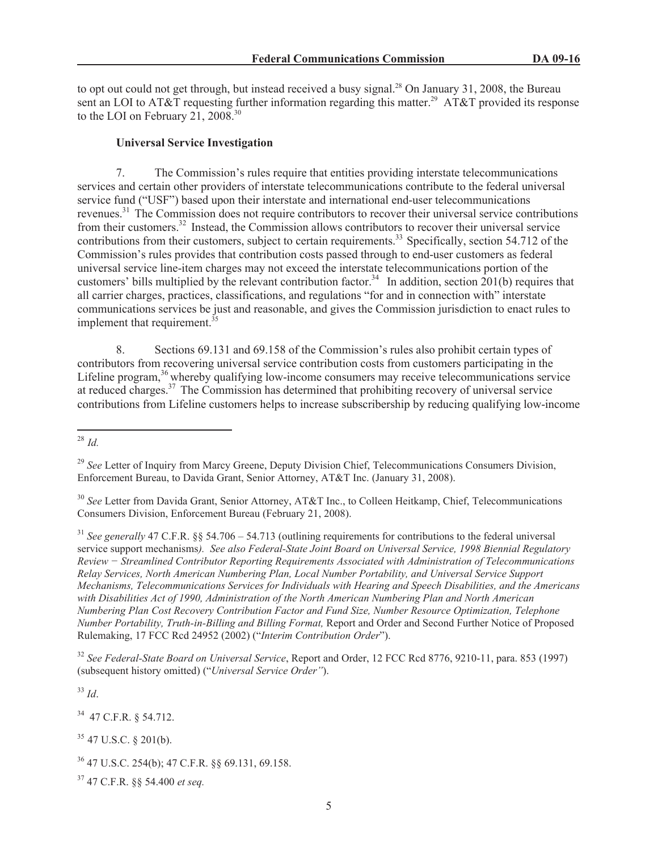to opt out could not get through, but instead received a busy signal.<sup>28</sup> On January 31, 2008, the Bureau sent an LOI to AT&T requesting further information regarding this matter.<sup>29</sup> AT&T provided its response to the LOI on February 21, 2008.<sup>30</sup>

## **Universal Service Investigation**

7. The Commission's rules require that entities providing interstate telecommunications services and certain other providers of interstate telecommunications contribute to the federal universal service fund ("USF") based upon their interstate and international end-user telecommunications revenues.<sup>31</sup> The Commission does not require contributors to recover their universal service contributions from their customers.<sup>32</sup> Instead, the Commission allows contributors to recover their universal service contributions from their customers, subject to certain requirements.<sup>33</sup> Specifically, section 54.712 of the Commission's rules provides that contribution costs passed through to end-user customers as federal universal service line-item charges may not exceed the interstate telecommunications portion of the customers' bills multiplied by the relevant contribution factor.<sup>34</sup> In addition, section  $201(b)$  requires that all carrier charges, practices, classifications, and regulations "for and in connection with" interstate communications services be just and reasonable, and gives the Commission jurisdiction to enact rules to implement that requirement.<sup>35</sup>

8. Sections 69.131 and 69.158 of the Commission's rules also prohibit certain types of contributors from recovering universal service contribution costs from customers participating in the Lifeline program,<sup>36</sup> whereby qualifying low-income consumers may receive telecommunications service at reduced charges.<sup>37</sup> The Commission has determined that prohibiting recovery of universal service contributions from Lifeline customers helps to increase subscribership by reducing qualifying low-income

<sup>31</sup> *See generally* 47 C.F.R. §§ 54.706 – 54.713 (outlining requirements for contributions to the federal universal service support mechanisms*). See also Federal-State Joint Board on Universal Service, 1998 Biennial Regulatory Review − Streamlined Contributor Reporting Requirements Associated with Administration of Telecommunications Relay Services, North American Numbering Plan, Local Number Portability, and Universal Service Support Mechanisms, Telecommunications Services for Individuals with Hearing and Speech Disabilities, and the Americans with Disabilities Act of 1990, Administration of the North American Numbering Plan and North American Numbering Plan Cost Recovery Contribution Factor and Fund Size, Number Resource Optimization, Telephone Number Portability, Truth-in-Billing and Billing Format,* Report and Order and Second Further Notice of Proposed Rulemaking, 17 FCC Rcd 24952 (2002) ("*Interim Contribution Order*").

<sup>32</sup> *See Federal-State Board on Universal Service*, Report and Order, 12 FCC Rcd 8776, 9210-11, para. 853 (1997) (subsequent history omitted) ("*Universal Service Order"*).

<sup>33</sup> *Id*.

<sup>34</sup> 47 C.F.R. § 54.712.

<sup>35</sup> 47 U.S.C. § 201(b).

<sup>28</sup> *Id.*

<sup>&</sup>lt;sup>29</sup> See Letter of Inquiry from Marcy Greene, Deputy Division Chief, Telecommunications Consumers Division, Enforcement Bureau, to Davida Grant, Senior Attorney, AT&T Inc. (January 31, 2008).

<sup>&</sup>lt;sup>30</sup> See Letter from Davida Grant, Senior Attorney, AT&T Inc., to Colleen Heitkamp, Chief, Telecommunications Consumers Division, Enforcement Bureau (February 21, 2008).

<sup>36</sup> 47 U.S.C. 254(b); 47 C.F.R. §§ 69.131, 69.158.

<sup>37</sup> 47 C.F.R. §§ 54.400 *et seq.*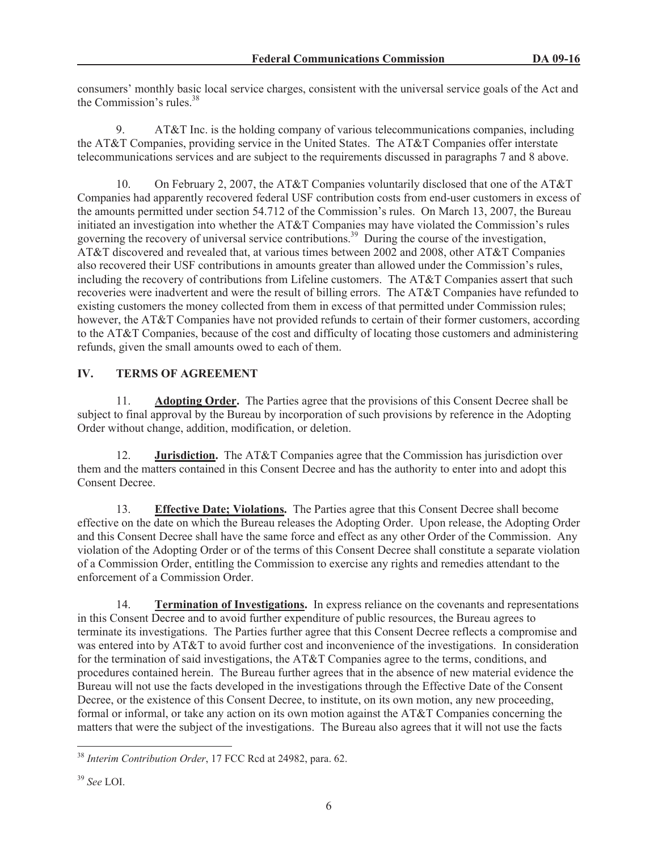consumers' monthly basic local service charges, consistent with the universal service goals of the Act and the Commission's rules.<sup>38</sup>

9. AT&T Inc. is the holding company of various telecommunications companies, including the AT&T Companies, providing service in the United States. The AT&T Companies offer interstate telecommunications services and are subject to the requirements discussed in paragraphs 7 and 8 above.

10. On February 2, 2007, the AT&T Companies voluntarily disclosed that one of the AT&T Companies had apparently recovered federal USF contribution costs from end-user customers in excess of the amounts permitted under section 54.712 of the Commission's rules. On March 13, 2007, the Bureau initiated an investigation into whether the AT&T Companies may have violated the Commission's rules governing the recovery of universal service contributions.<sup>39</sup> During the course of the investigation, AT&T discovered and revealed that, at various times between 2002 and 2008, other AT&T Companies also recovered their USF contributions in amounts greater than allowed under the Commission's rules, including the recovery of contributions from Lifeline customers. The AT&T Companies assert that such recoveries were inadvertent and were the result of billing errors. The AT&T Companies have refunded to existing customers the money collected from them in excess of that permitted under Commission rules; however, the AT&T Companies have not provided refunds to certain of their former customers, according to the AT&T Companies, because of the cost and difficulty of locating those customers and administering refunds, given the small amounts owed to each of them.

# **IV. TERMS OF AGREEMENT**

11. **Adopting Order.** The Parties agree that the provisions of this Consent Decree shall be subject to final approval by the Bureau by incorporation of such provisions by reference in the Adopting Order without change, addition, modification, or deletion.

12. **Jurisdiction.** The AT&T Companies agree that the Commission has jurisdiction over them and the matters contained in this Consent Decree and has the authority to enter into and adopt this Consent Decree.

13. **Effective Date; Violations.** The Parties agree that this Consent Decree shall become effective on the date on which the Bureau releases the Adopting Order. Upon release, the Adopting Order and this Consent Decree shall have the same force and effect as any other Order of the Commission. Any violation of the Adopting Order or of the terms of this Consent Decree shall constitute a separate violation of a Commission Order, entitling the Commission to exercise any rights and remedies attendant to the enforcement of a Commission Order.

14. **Termination of Investigations.** In express reliance on the covenants and representations in this Consent Decree and to avoid further expenditure of public resources, the Bureau agrees to terminate its investigations. The Parties further agree that this Consent Decree reflects a compromise and was entered into by AT&T to avoid further cost and inconvenience of the investigations. In consideration for the termination of said investigations, the AT&T Companies agree to the terms, conditions, and procedures contained herein. The Bureau further agrees that in the absence of new material evidence the Bureau will not use the facts developed in the investigations through the Effective Date of the Consent Decree, or the existence of this Consent Decree, to institute, on its own motion, any new proceeding, formal or informal, or take any action on its own motion against the AT&T Companies concerning the matters that were the subject of the investigations. The Bureau also agrees that it will not use the facts

<sup>38</sup> *Interim Contribution Order*, 17 FCC Rcd at 24982, para. 62.

<sup>39</sup> *See* LOI.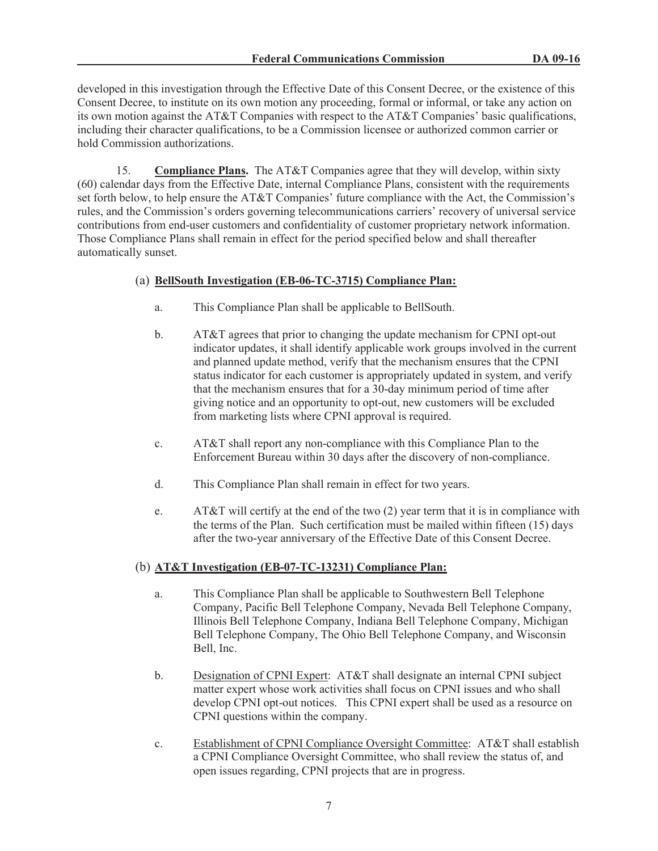developed in this investigation through the Effective Date of this Consent Decree, or the existence of this Consent Decree, to institute on its own motion any proceeding, formal or informal, or take any action on its own motion against the AT&T Companies with respect to the AT&T Companies' basic qualifications, including their character qualifications, to be a Commission licensee or authorized common carrier or hold Commission authorizations.

15. **Compliance Plans.** The AT&T Companies agree that they will develop, within sixty (60) calendar days from the Effective Date, internal Compliance Plans, consistent with the requirements set forth below, to help ensure the AT&T Companies' future compliance with the Act, the Commission's rules, and the Commission's orders governing telecommunications carriers' recovery of universal service contributions from end-user customers and confidentiality of customer proprietary network information. Those Compliance Plans shall remain in effect for the period specified below and shall thereafter automatically sunset.

# (a) **BellSouth Investigation (EB-06-TC-3715) Compliance Plan:**

- a. This Compliance Plan shall be applicable to BellSouth.
- b. AT&T agrees that prior to changing the update mechanism for CPNI opt-out indicator updates, it shall identify applicable work groups involved in the current and planned update method, verify that the mechanism ensures that the CPNI status indicator for each customer is appropriately updated in system, and verify that the mechanism ensures that for a 30-day minimum period of time after giving notice and an opportunity to opt-out, new customers will be excluded from marketing lists where CPNI approval is required.
- c. AT&T shall report any non-compliance with this Compliance Plan to the Enforcement Bureau within 30 days after the discovery of non-compliance.
- d. This Compliance Plan shall remain in effect for two years.
- e. AT&T will certify at the end of the two (2) year term that it is in compliance with the terms of the Plan. Such certification must be mailed within fifteen (15) days after the two-year anniversary of the Effective Date of this Consent Decree.

# (b) **AT&T Investigation (EB-07-TC-13231) Compliance Plan:**

- a. This Compliance Plan shall be applicable to Southwestern Bell Telephone Company, Pacific Bell Telephone Company, Nevada Bell Telephone Company, Illinois Bell Telephone Company, Indiana Bell Telephone Company, Michigan Bell Telephone Company, The Ohio Bell Telephone Company, and Wisconsin Bell, Inc.
- b. Designation of CPNI Expert: AT&T shall designate an internal CPNI subject matter expert whose work activities shall focus on CPNI issues and who shall develop CPNI opt-out notices. This CPNI expert shall be used as a resource on CPNI questions within the company.
- c. Establishment of CPNI Compliance Oversight Committee: AT&T shall establish a CPNI Compliance Oversight Committee, who shall review the status of, and open issues regarding, CPNI projects that are in progress.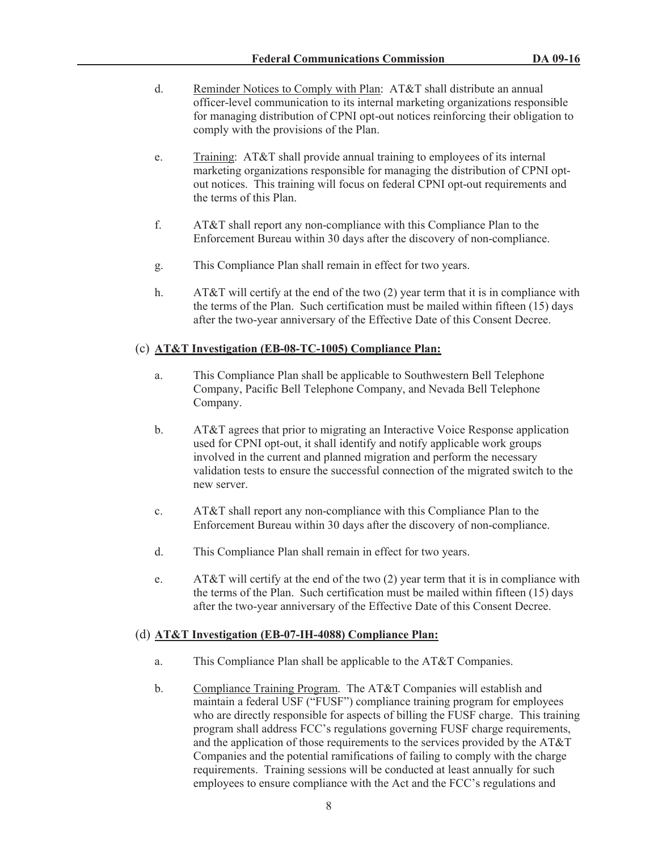- d. Reminder Notices to Comply with Plan: AT&T shall distribute an annual officer-level communication to its internal marketing organizations responsible for managing distribution of CPNI opt-out notices reinforcing their obligation to comply with the provisions of the Plan.
- e. Training: AT&T shall provide annual training to employees of its internal marketing organizations responsible for managing the distribution of CPNI optout notices. This training will focus on federal CPNI opt-out requirements and the terms of this Plan.
- f. AT&T shall report any non-compliance with this Compliance Plan to the Enforcement Bureau within 30 days after the discovery of non-compliance.
- g. This Compliance Plan shall remain in effect for two years.
- h. AT&T will certify at the end of the two (2) year term that it is in compliance with the terms of the Plan. Such certification must be mailed within fifteen (15) days after the two-year anniversary of the Effective Date of this Consent Decree.

## (c) **AT&T Investigation (EB-08-TC-1005) Compliance Plan:**

- a. This Compliance Plan shall be applicable to Southwestern Bell Telephone Company, Pacific Bell Telephone Company, and Nevada Bell Telephone Company.
- b. AT&T agrees that prior to migrating an Interactive Voice Response application used for CPNI opt-out, it shall identify and notify applicable work groups involved in the current and planned migration and perform the necessary validation tests to ensure the successful connection of the migrated switch to the new server.
- c. AT&T shall report any non-compliance with this Compliance Plan to the Enforcement Bureau within 30 days after the discovery of non-compliance.
- d. This Compliance Plan shall remain in effect for two years.
- e. AT&T will certify at the end of the two (2) year term that it is in compliance with the terms of the Plan. Such certification must be mailed within fifteen (15) days after the two-year anniversary of the Effective Date of this Consent Decree.

#### (d) **AT&T Investigation (EB-07-IH-4088) Compliance Plan:**

- a. This Compliance Plan shall be applicable to the AT&T Companies.
- b. Compliance Training Program. The AT&T Companies will establish and maintain a federal USF ("FUSF") compliance training program for employees who are directly responsible for aspects of billing the FUSF charge. This training program shall address FCC's regulations governing FUSF charge requirements, and the application of those requirements to the services provided by the AT&T Companies and the potential ramifications of failing to comply with the charge requirements. Training sessions will be conducted at least annually for such employees to ensure compliance with the Act and the FCC's regulations and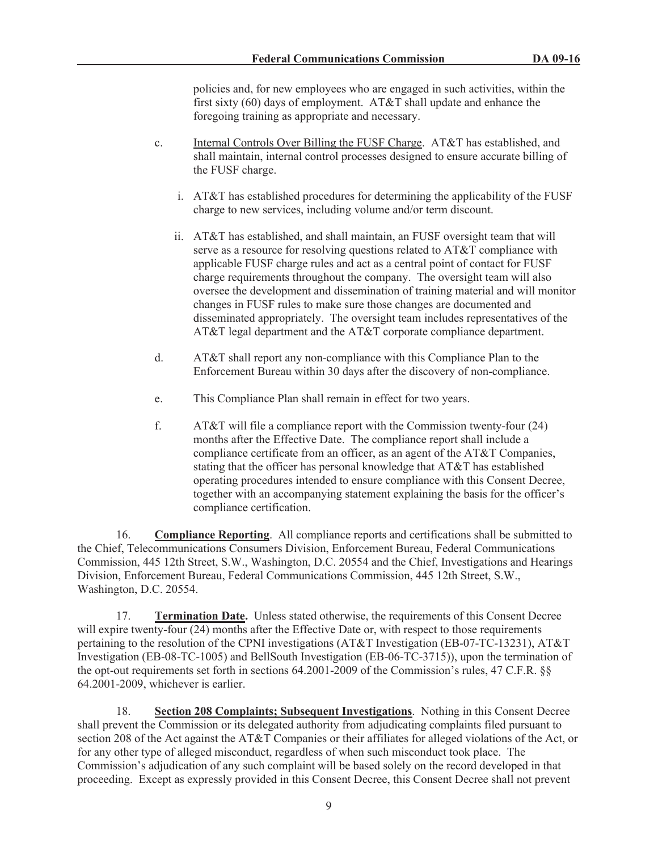policies and, for new employees who are engaged in such activities, within the first sixty (60) days of employment. AT&T shall update and enhance the foregoing training as appropriate and necessary.

- c. Internal Controls Over Billing the FUSF Charge. AT&T has established, and shall maintain, internal control processes designed to ensure accurate billing of the FUSF charge.
	- i. AT&T has established procedures for determining the applicability of the FUSF charge to new services, including volume and/or term discount.
	- ii. AT&T has established, and shall maintain, an FUSF oversight team that will serve as a resource for resolving questions related to AT&T compliance with applicable FUSF charge rules and act as a central point of contact for FUSF charge requirements throughout the company. The oversight team will also oversee the development and dissemination of training material and will monitor changes in FUSF rules to make sure those changes are documented and disseminated appropriately. The oversight team includes representatives of the AT&T legal department and the AT&T corporate compliance department.
- d. AT&T shall report any non-compliance with this Compliance Plan to the Enforcement Bureau within 30 days after the discovery of non-compliance.
- e. This Compliance Plan shall remain in effect for two years.
- f. AT&T will file a compliance report with the Commission twenty-four (24) months after the Effective Date. The compliance report shall include a compliance certificate from an officer, as an agent of the AT&T Companies, stating that the officer has personal knowledge that AT&T has established operating procedures intended to ensure compliance with this Consent Decree, together with an accompanying statement explaining the basis for the officer's compliance certification.

16. **Compliance Reporting**. All compliance reports and certifications shall be submitted to the Chief, Telecommunications Consumers Division, Enforcement Bureau, Federal Communications Commission, 445 12th Street, S.W., Washington, D.C. 20554 and the Chief, Investigations and Hearings Division, Enforcement Bureau, Federal Communications Commission, 445 12th Street, S.W., Washington, D.C. 20554.

17. **Termination Date.** Unless stated otherwise, the requirements of this Consent Decree will expire twenty-four (24) months after the Effective Date or, with respect to those requirements pertaining to the resolution of the CPNI investigations (AT&T Investigation (EB-07-TC-13231), AT&T Investigation (EB-08-TC-1005) and BellSouth Investigation (EB-06-TC-3715)), upon the termination of the opt-out requirements set forth in sections 64.2001-2009 of the Commission's rules, 47 C.F.R. §§ 64.2001-2009, whichever is earlier.

18. **Section 208 Complaints; Subsequent Investigations**. Nothing in this Consent Decree shall prevent the Commission or its delegated authority from adjudicating complaints filed pursuant to section 208 of the Act against the AT&T Companies or their affiliates for alleged violations of the Act, or for any other type of alleged misconduct, regardless of when such misconduct took place. The Commission's adjudication of any such complaint will be based solely on the record developed in that proceeding. Except as expressly provided in this Consent Decree, this Consent Decree shall not prevent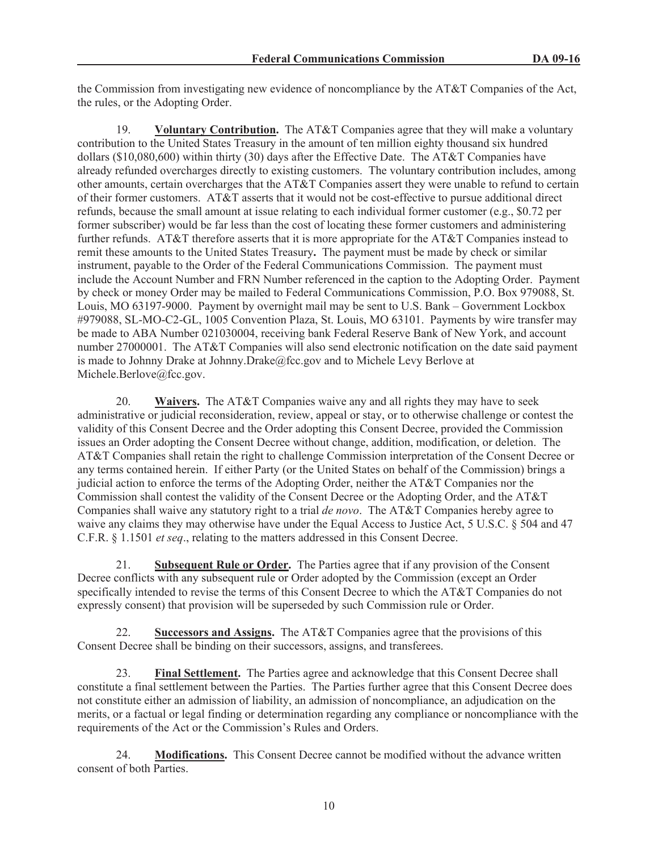the Commission from investigating new evidence of noncompliance by the AT&T Companies of the Act, the rules, or the Adopting Order.

19. **Voluntary Contribution.** The AT&T Companies agree that they will make a voluntary contribution to the United States Treasury in the amount of ten million eighty thousand six hundred dollars (\$10,080,600) within thirty (30) days after the Effective Date. The AT&T Companies have already refunded overcharges directly to existing customers. The voluntary contribution includes, among other amounts, certain overcharges that the AT&T Companies assert they were unable to refund to certain of their former customers. AT&T asserts that it would not be cost-effective to pursue additional direct refunds, because the small amount at issue relating to each individual former customer (e.g., \$0.72 per former subscriber) would be far less than the cost of locating these former customers and administering further refunds. AT&T therefore asserts that it is more appropriate for the AT&T Companies instead to remit these amounts to the United States Treasury**.** The payment must be made by check or similar instrument, payable to the Order of the Federal Communications Commission. The payment must include the Account Number and FRN Number referenced in the caption to the Adopting Order. Payment by check or money Order may be mailed to Federal Communications Commission, P.O. Box 979088, St. Louis, MO 63197-9000. Payment by overnight mail may be sent to U.S. Bank – Government Lockbox #979088, SL-MO-C2-GL, 1005 Convention Plaza, St. Louis, MO 63101. Payments by wire transfer may be made to ABA Number 021030004, receiving bank Federal Reserve Bank of New York, and account number 27000001. The AT&T Companies will also send electronic notification on the date said payment is made to Johnny Drake at Johnny.Drake@fcc.gov and to Michele Levy Berlove at Michele.Berlove@fcc.gov.

20. **Waivers.** The AT&T Companies waive any and all rights they may have to seek administrative or judicial reconsideration, review, appeal or stay, or to otherwise challenge or contest the validity of this Consent Decree and the Order adopting this Consent Decree, provided the Commission issues an Order adopting the Consent Decree without change, addition, modification, or deletion. The AT&T Companies shall retain the right to challenge Commission interpretation of the Consent Decree or any terms contained herein. If either Party (or the United States on behalf of the Commission) brings a judicial action to enforce the terms of the Adopting Order, neither the AT&T Companies nor the Commission shall contest the validity of the Consent Decree or the Adopting Order, and the AT&T Companies shall waive any statutory right to a trial *de novo*. The AT&T Companies hereby agree to waive any claims they may otherwise have under the Equal Access to Justice Act, 5 U.S.C. § 504 and 47 C.F.R. § 1.1501 *et seq*., relating to the matters addressed in this Consent Decree.

21. **Subsequent Rule or Order.** The Parties agree that if any provision of the Consent Decree conflicts with any subsequent rule or Order adopted by the Commission (except an Order specifically intended to revise the terms of this Consent Decree to which the AT&T Companies do not expressly consent) that provision will be superseded by such Commission rule or Order.

Successors and Assigns. The AT&T Companies agree that the provisions of this Consent Decree shall be binding on their successors, assigns, and transferees.

23. **Final Settlement.** The Parties agree and acknowledge that this Consent Decree shall constitute a final settlement between the Parties. The Parties further agree that this Consent Decree does not constitute either an admission of liability, an admission of noncompliance, an adjudication on the merits, or a factual or legal finding or determination regarding any compliance or noncompliance with the requirements of the Act or the Commission's Rules and Orders.

24. **Modifications.** This Consent Decree cannot be modified without the advance written consent of both Parties.